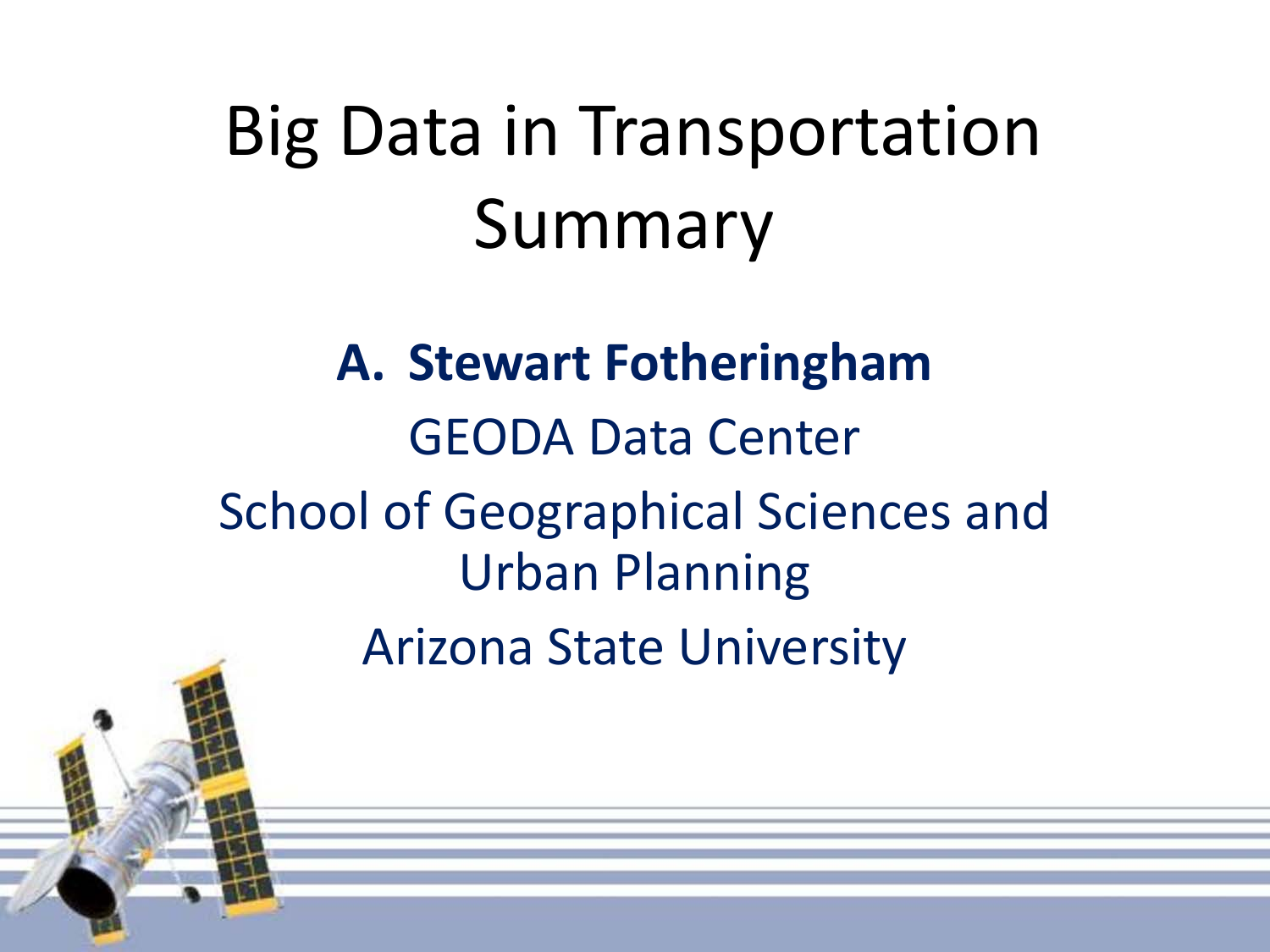**A. Stewart Fotheringham** GEODA Data Center School of Geographical Sciences and Urban Planning Arizona State University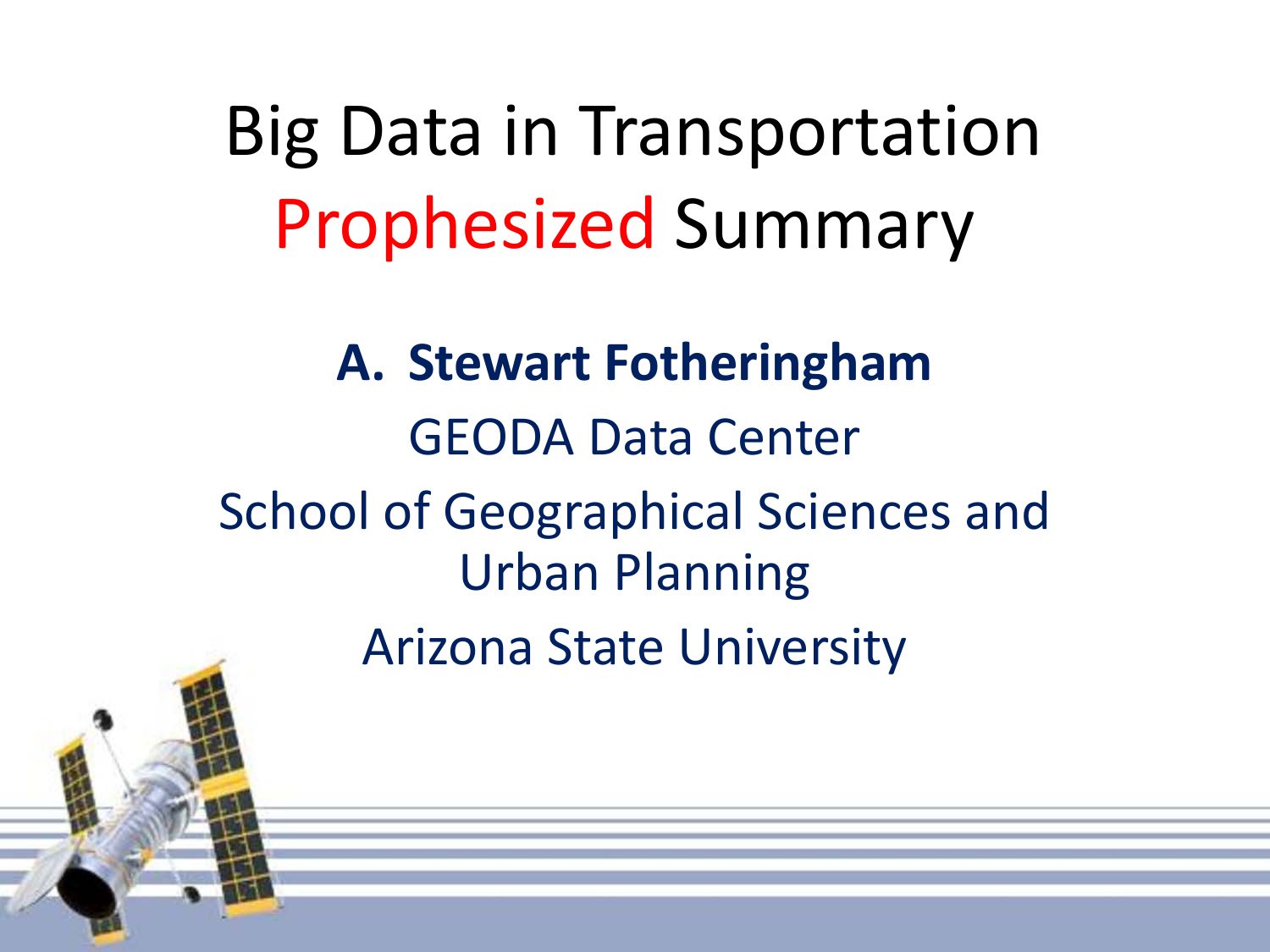# Big Data in Transportation Prophesized Summary

**A. Stewart Fotheringham** GEODA Data Center School of Geographical Sciences and Urban Planning Arizona State University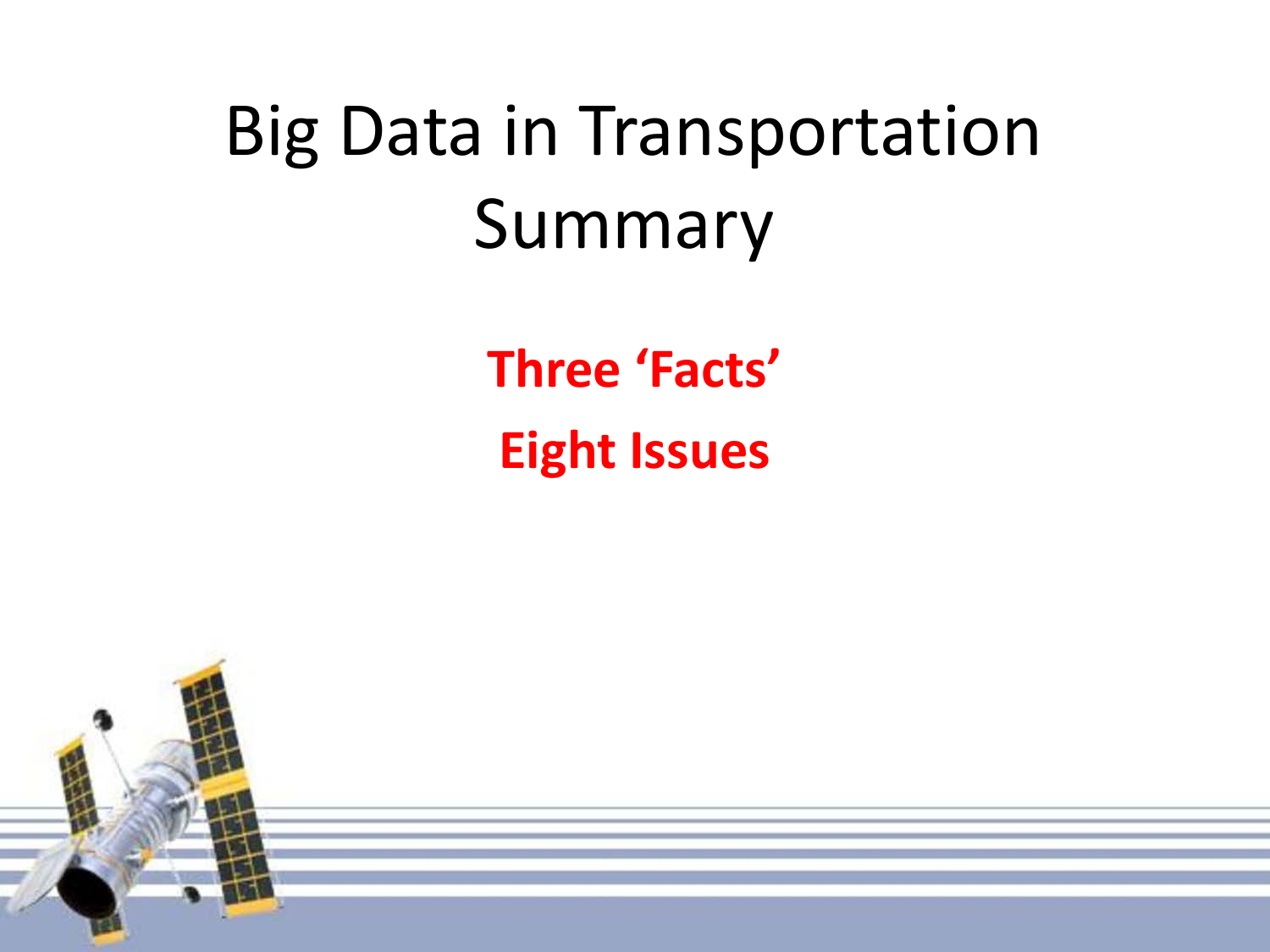**Three 'Facts' Eight Issues**

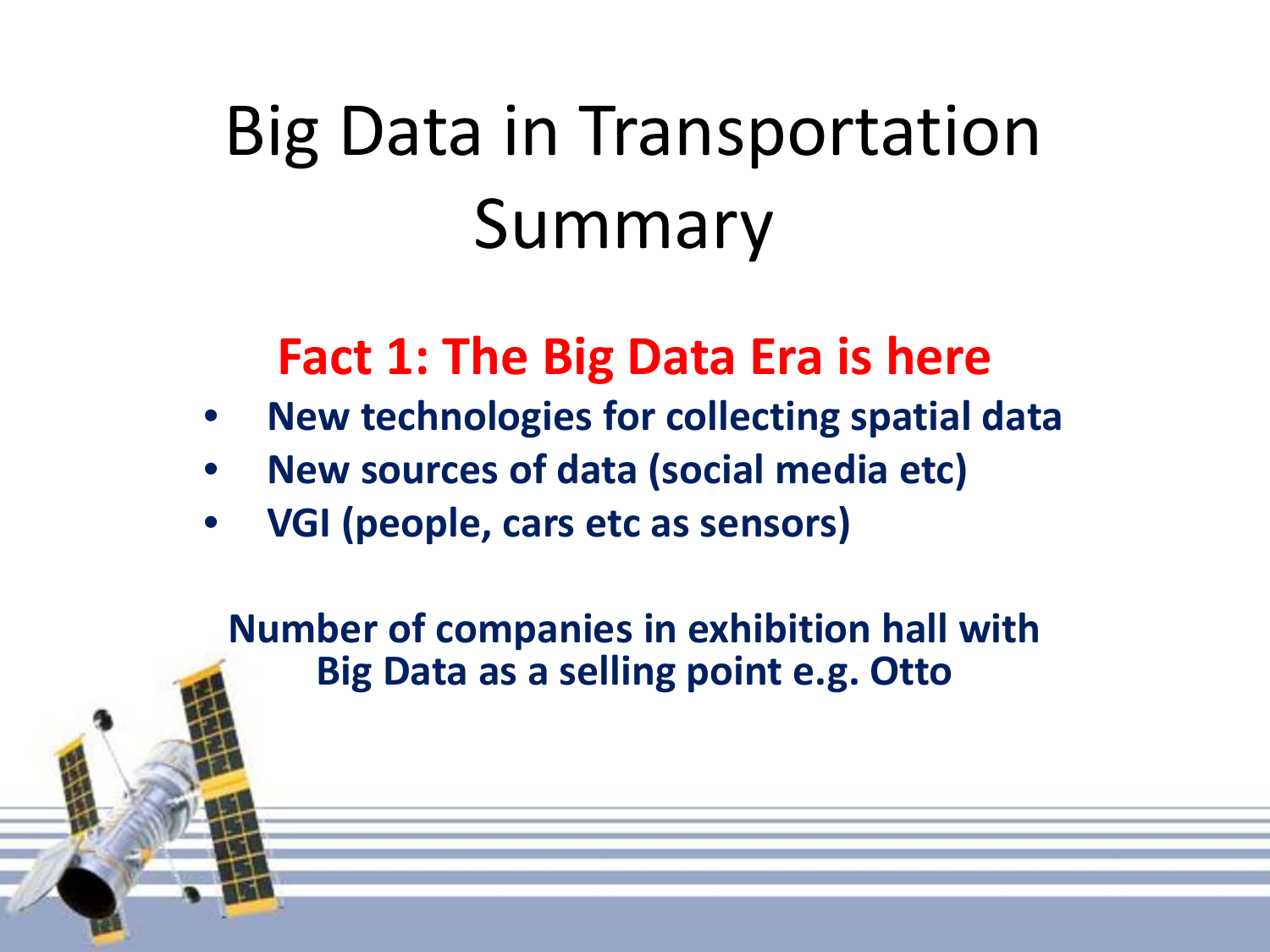#### **Fact 1: The Big Data Era is here**

- **New technologies for collecting spatial data**
- **New sources of data (social media etc)**
- **VGI (people, cars etc as sensors)**

**Number of companies in exhibition hall with Big Data as a selling point e.g. Otto**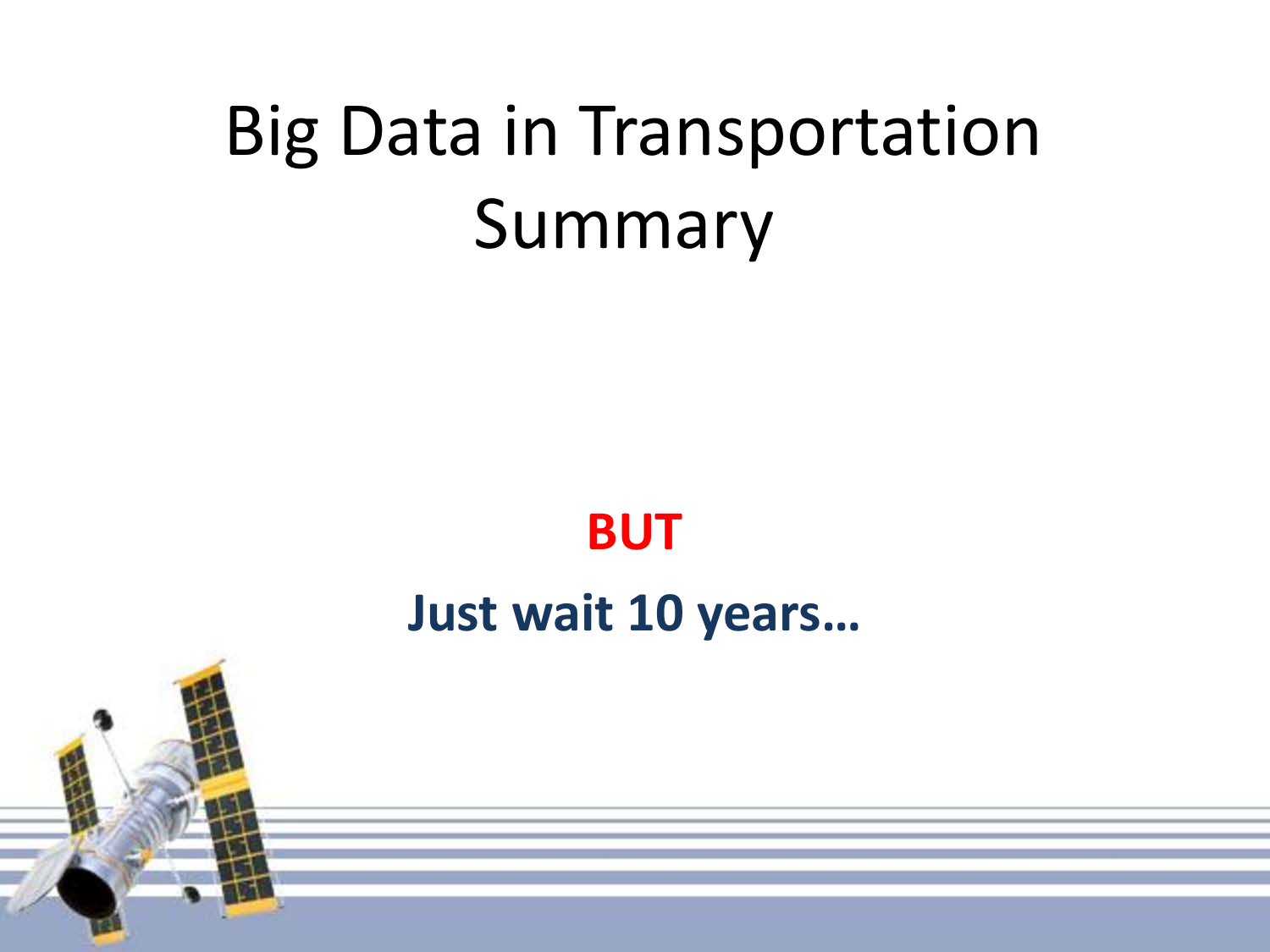#### **BUT**

#### **Just wait 10 years…**

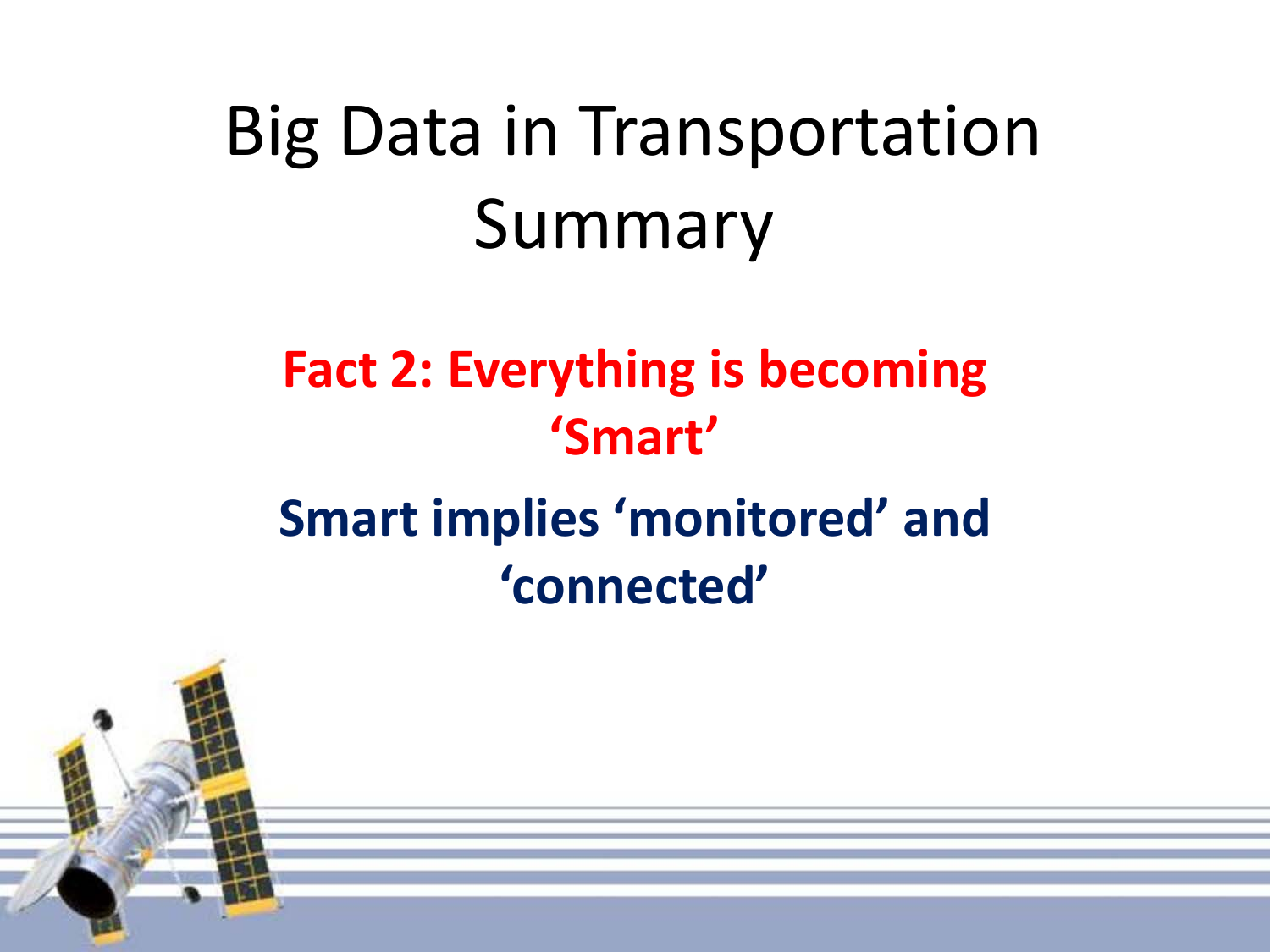### **Fact 2: Everything is becoming 'Smart' Smart implies 'monitored' and 'connected'**

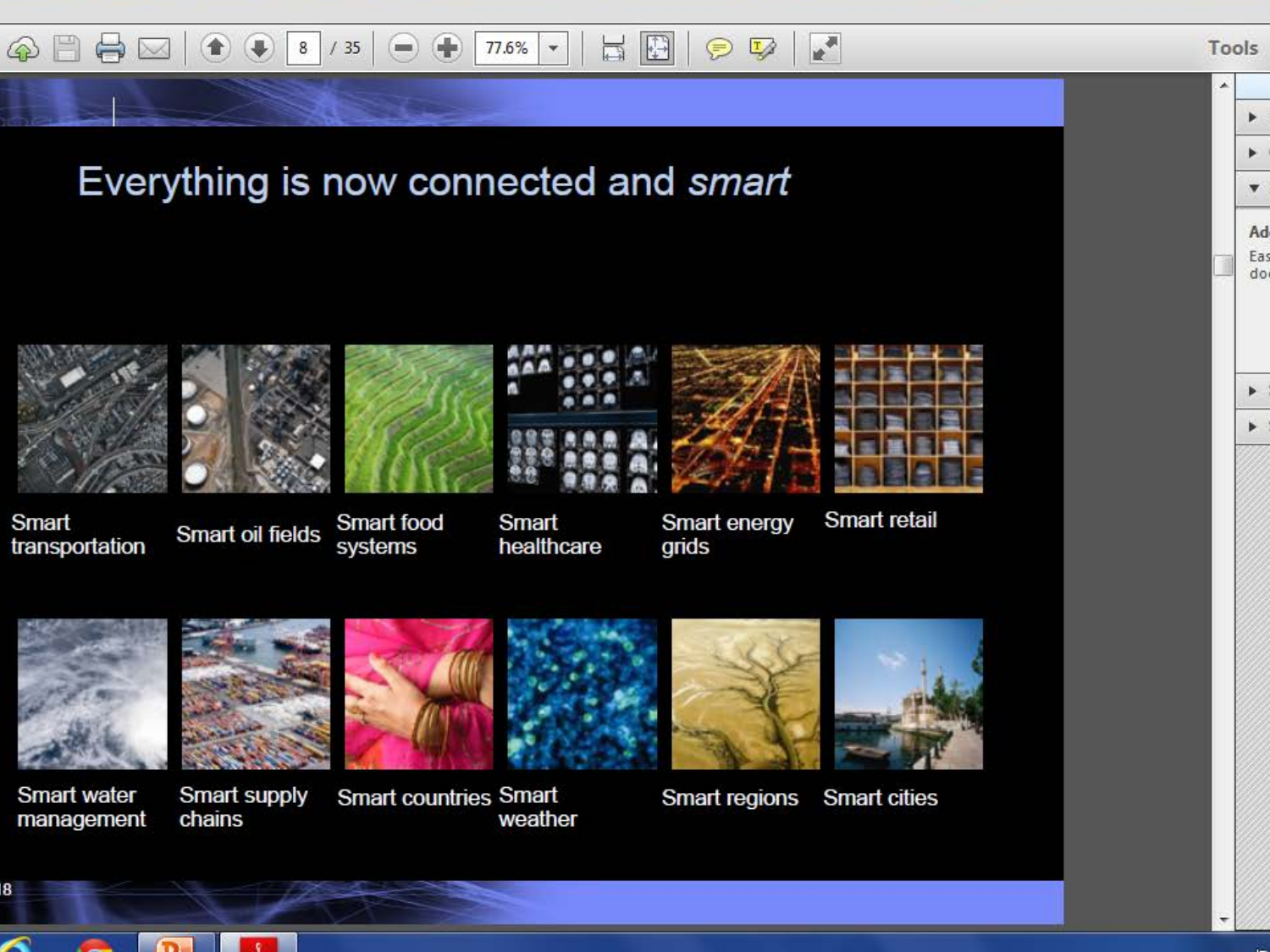

#### Everything is now connected and smart



Smart transportation Smart oil fields

 $\mathbf{c}$ 

Smart food

systems



healthcare



Smart energy grids

Smart retail



**Smart water** management

18

chains

**Smart countries Smart** 

weather

Smart regions

**Smart cities** 

Tools



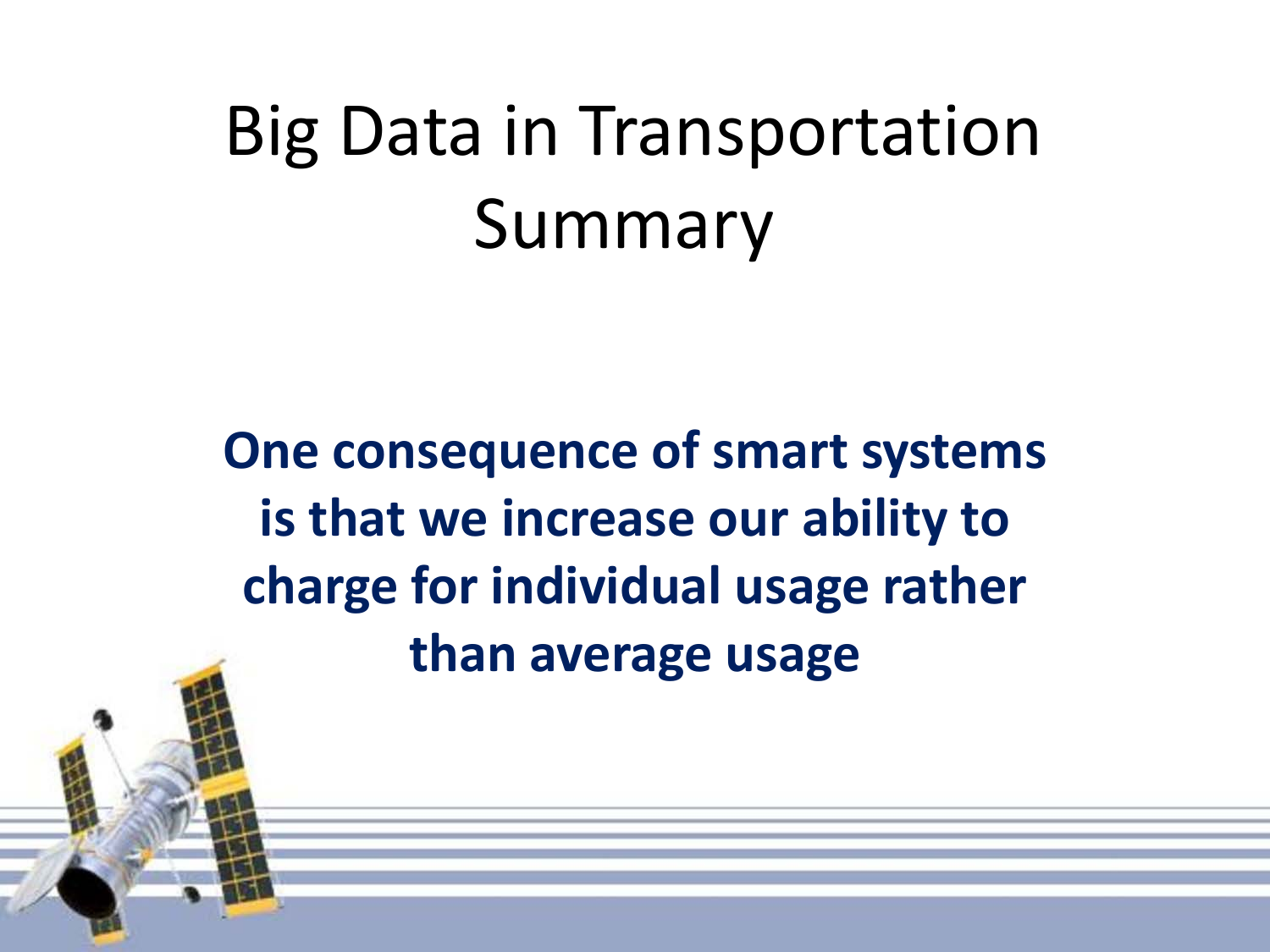**One consequence of smart systems is that we increase our ability to charge for individual usage rather than average usage**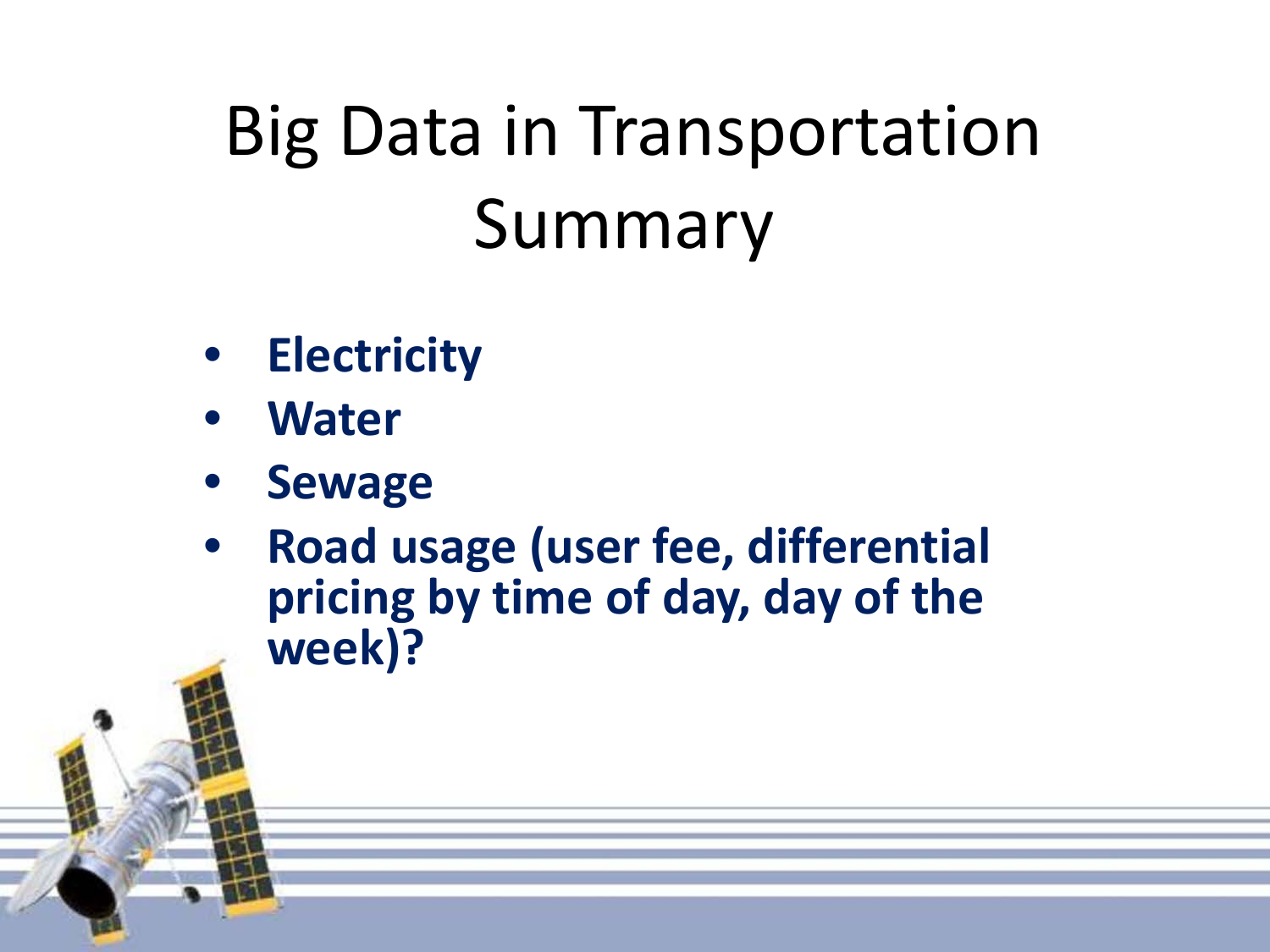- **Electricity**
- **Water**
- **Sewage**
- **Road usage (user fee, differential pricing by time of day, day of the week)?**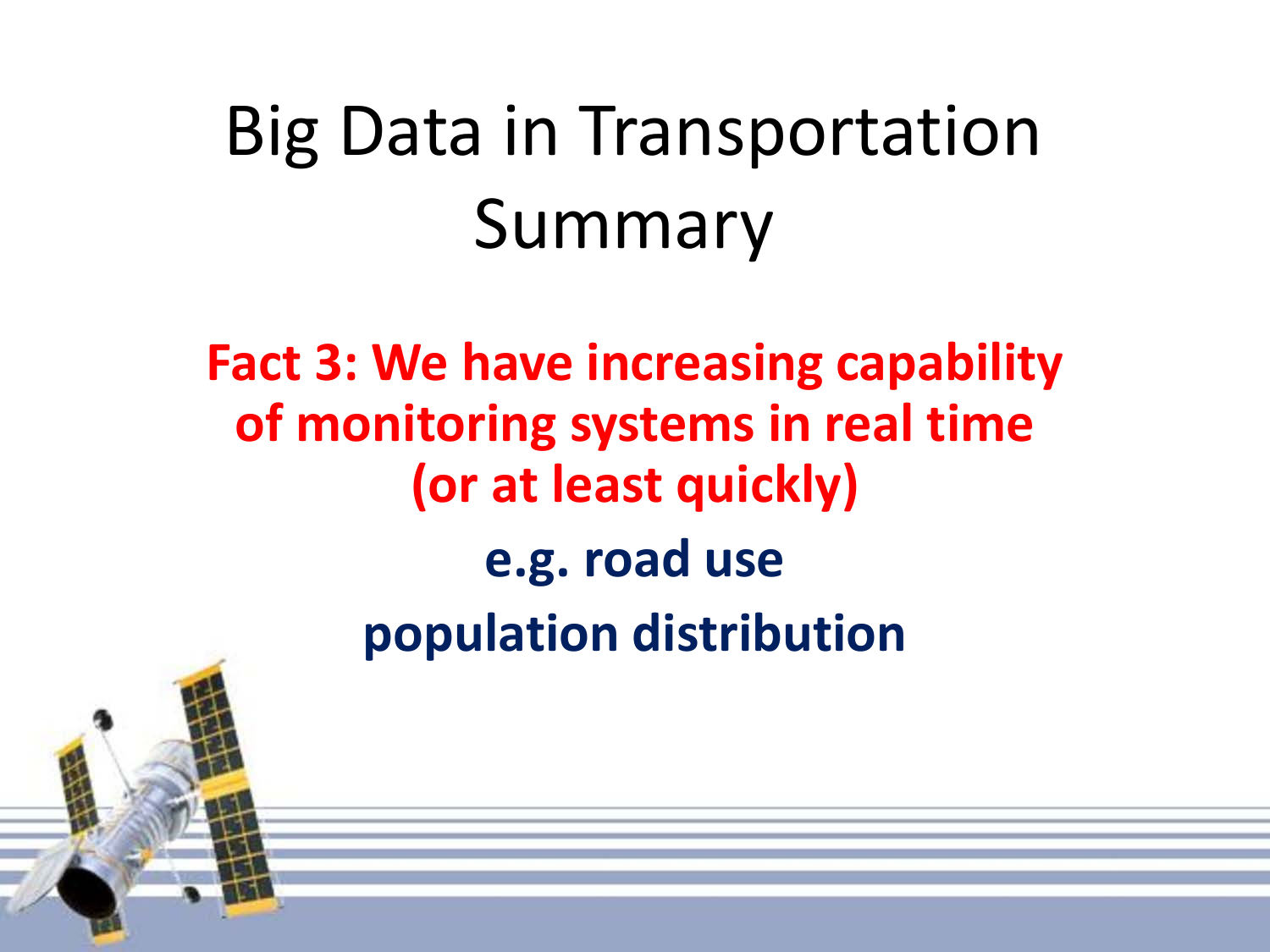**Fact 3: We have increasing capability of monitoring systems in real time (or at least quickly) e.g. road use population distribution**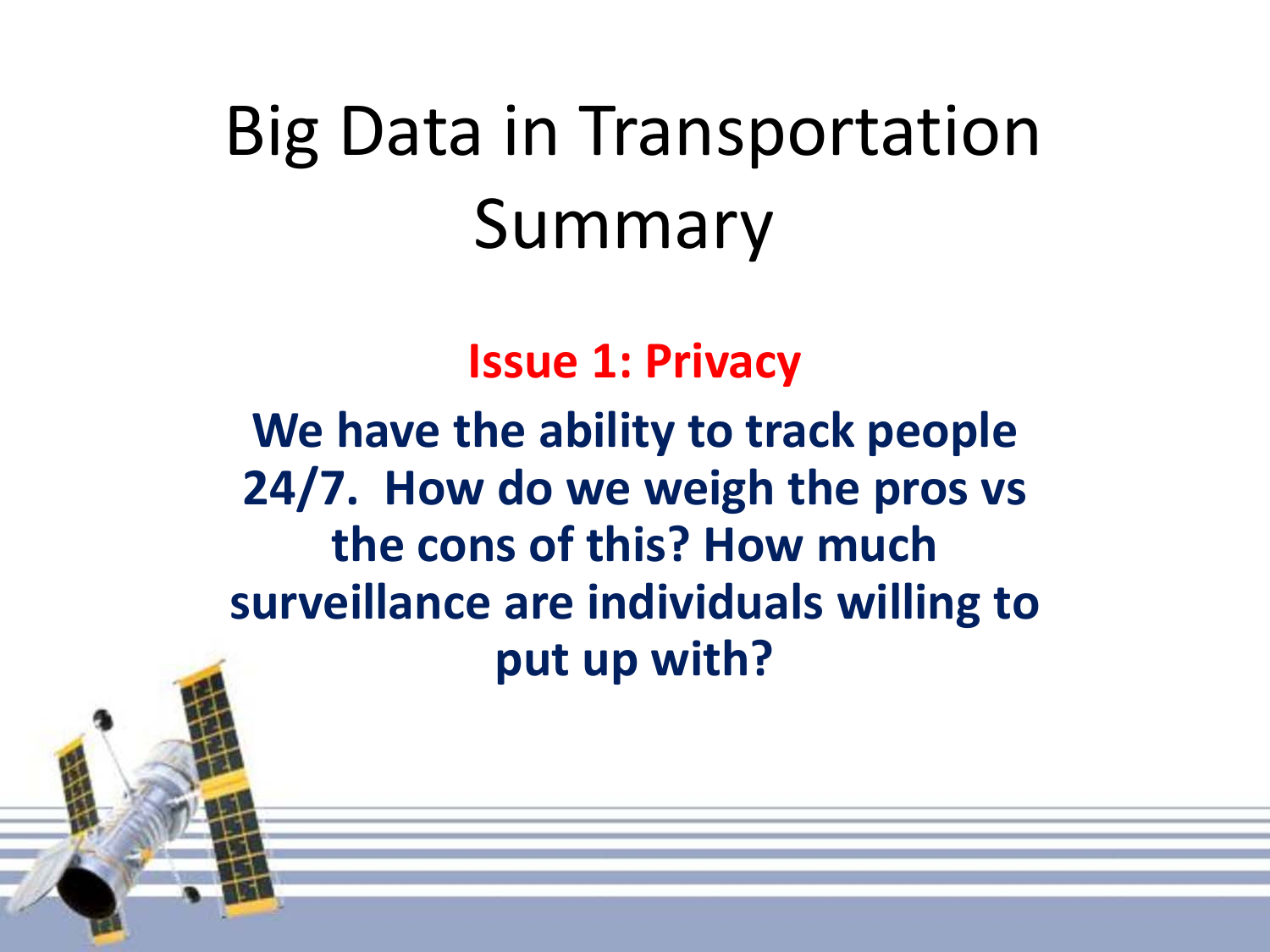**Issue 1: Privacy** 

**We have the ability to track people 24/7. How do we weigh the pros vs the cons of this? How much surveillance are individuals willing to put up with?**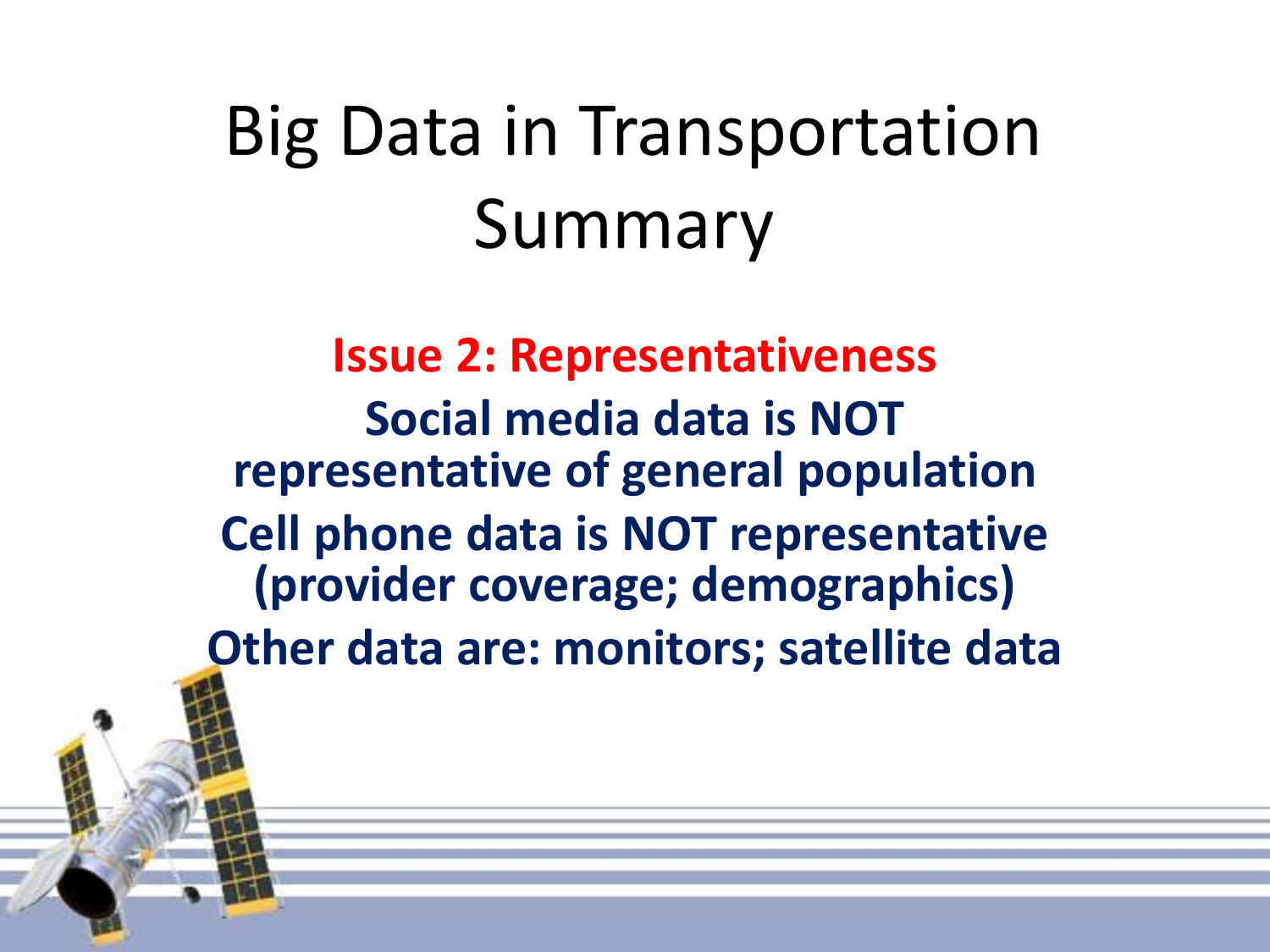**Issue 2: Representativeness Social media data is NOT representative of general population Cell phone data is NOT representative (provider coverage; demographics) Other data are: monitors; satellite data**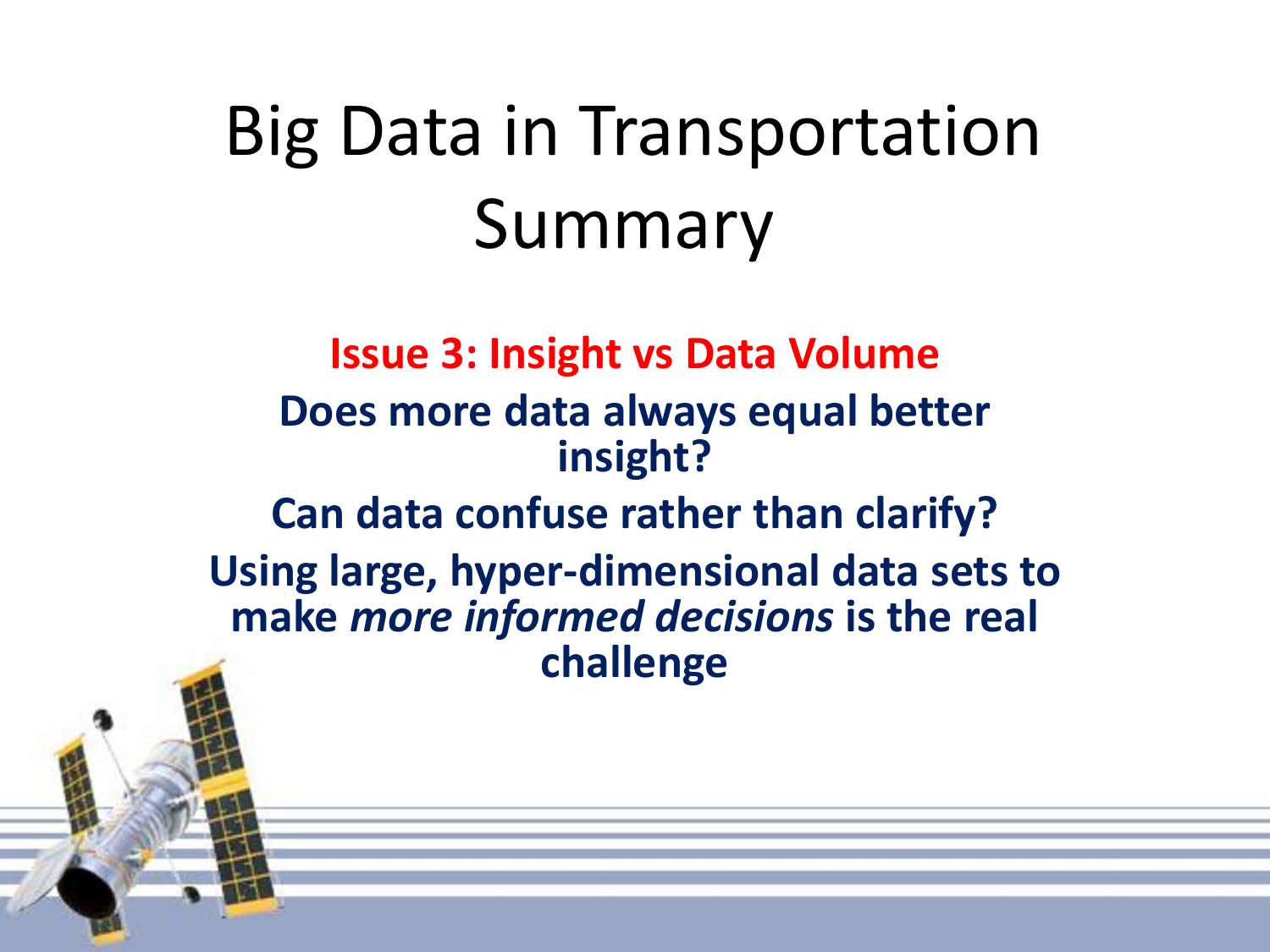**Issue 3: Insight vs Data Volume Does more data always equal better insight? Can data confuse rather than clarify? Using large, hyper-dimensional data sets to make** *more informed decisions* **is the real challenge**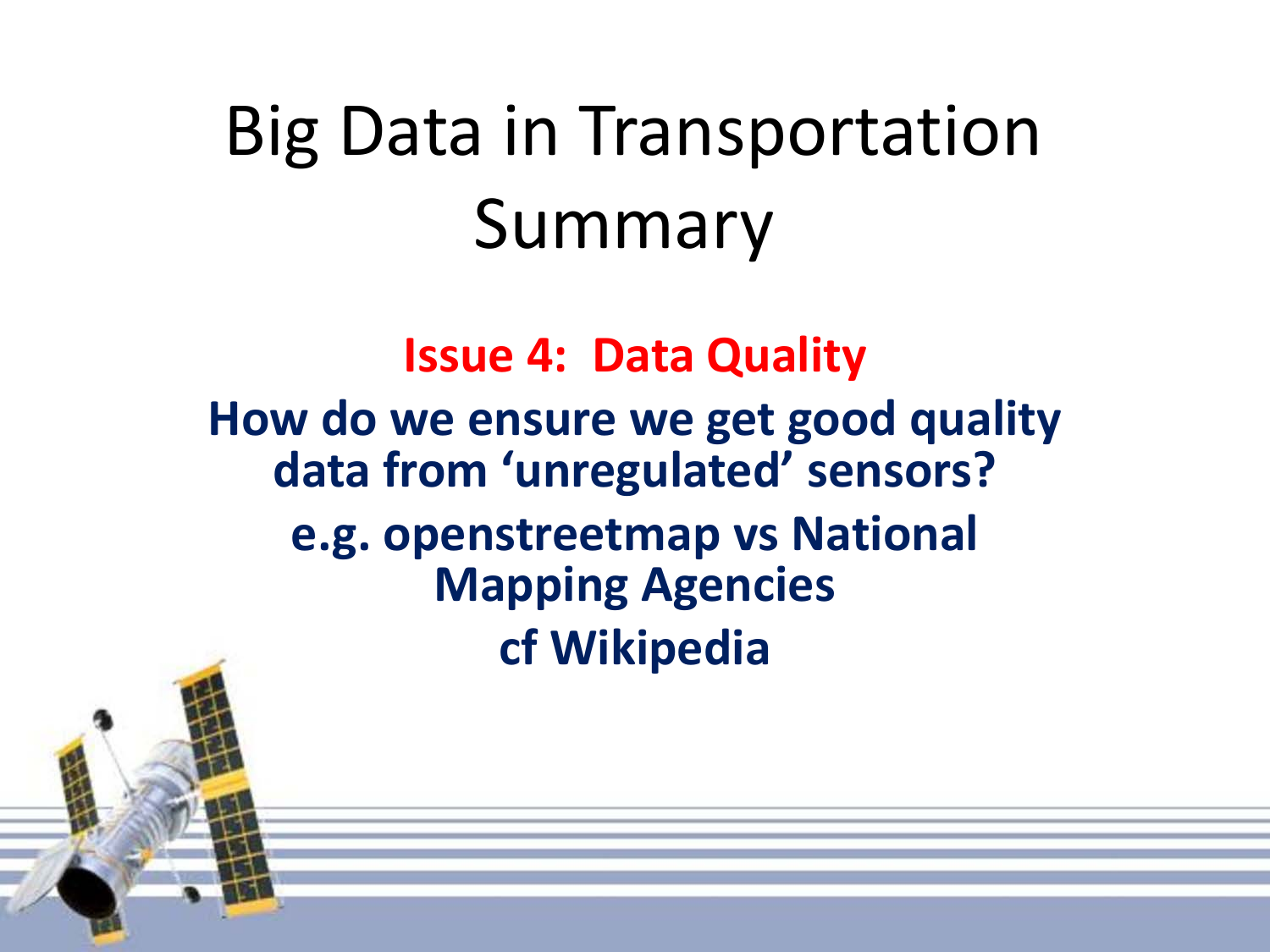**Issue 4: Data Quality How do we ensure we get good quality data from 'unregulated' sensors? e.g. openstreetmap vs National Mapping Agencies cf Wikipedia**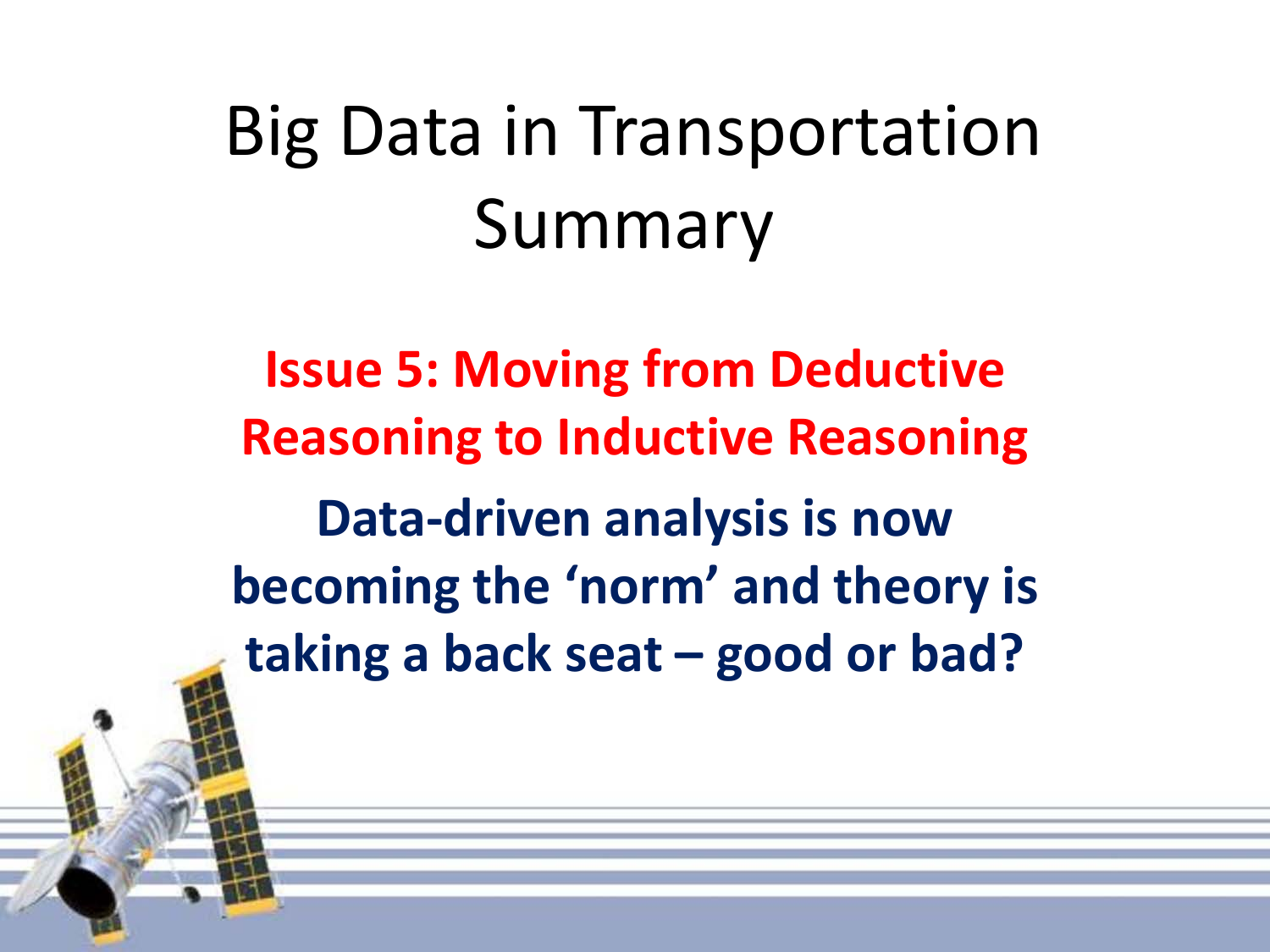**Issue 5: Moving from Deductive Reasoning to Inductive Reasoning Data-driven analysis is now becoming the 'norm' and theory is taking a back seat – good or bad?**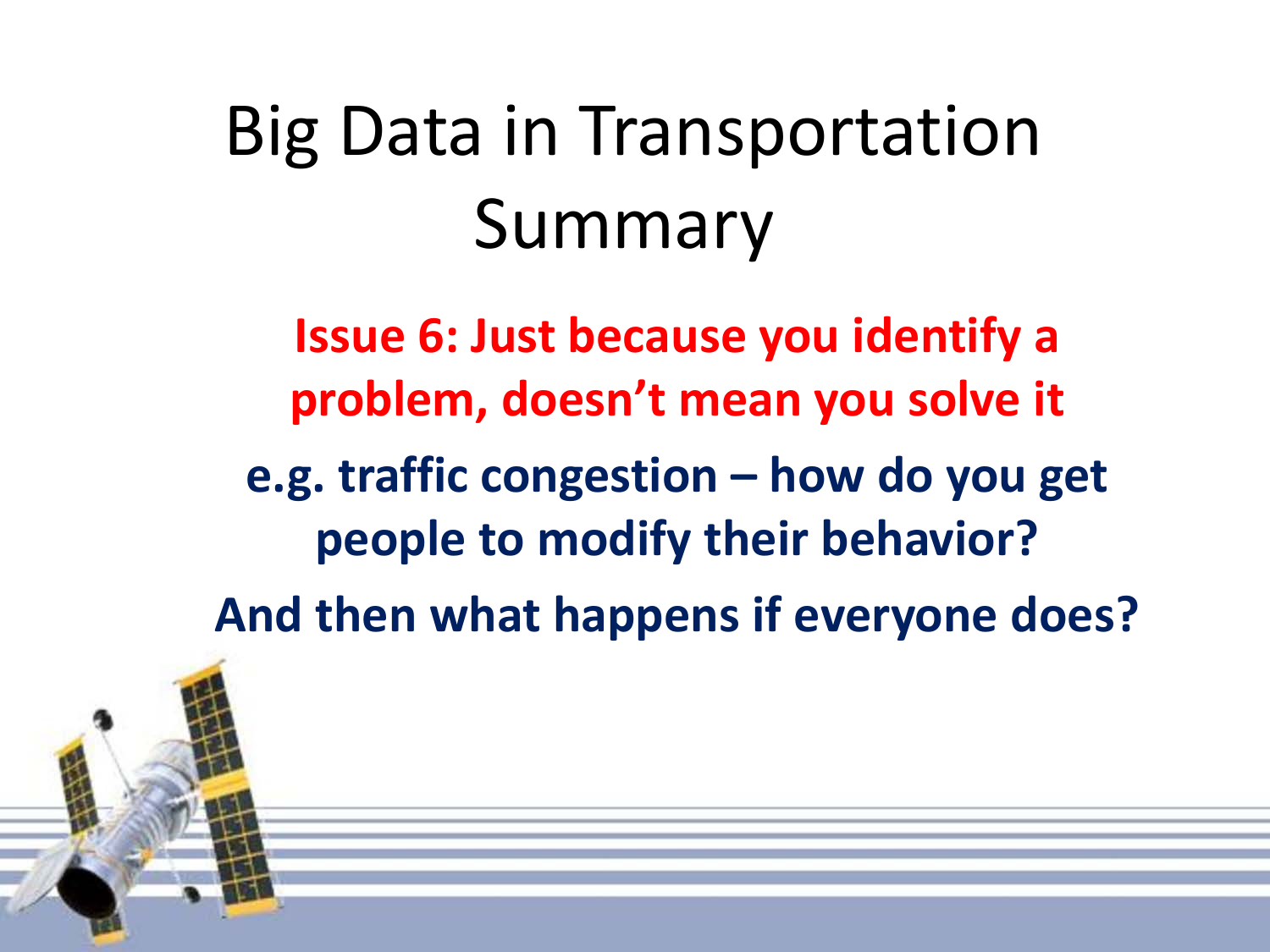**Issue 6: Just because you identify a problem, doesn't mean you solve it** 

**e.g. traffic congestion – how do you get people to modify their behavior?**

**And then what happens if everyone does?**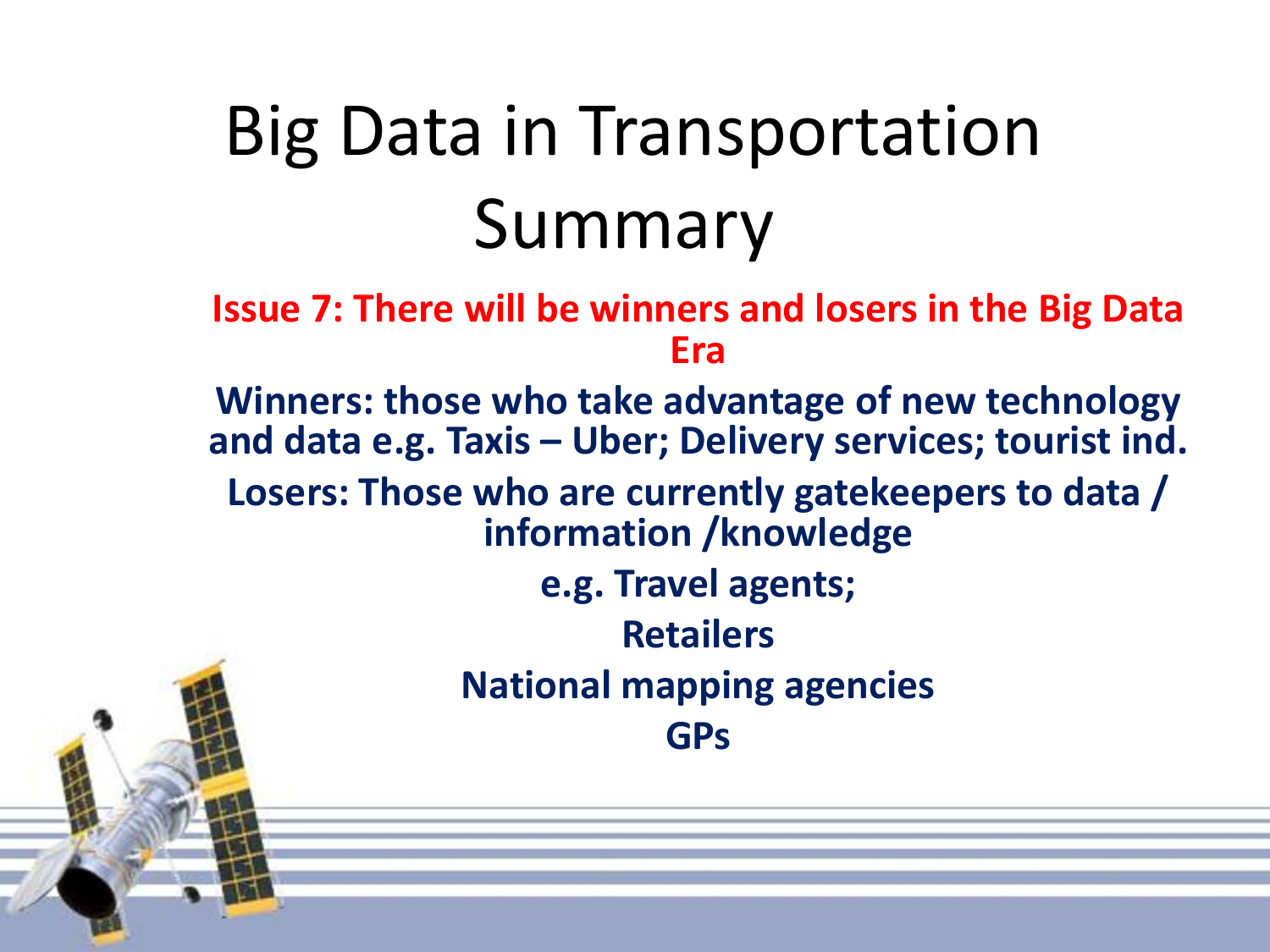**Issue 7: There will be winners and losers in the Big Data Era** 

**Winners: those who take advantage of new technology and data e.g. Taxis – Uber; Delivery services; tourist ind. Losers: Those who are currently gatekeepers to data / information /knowledge e.g. Travel agents;** 

**Retailers National mapping agencies GPs**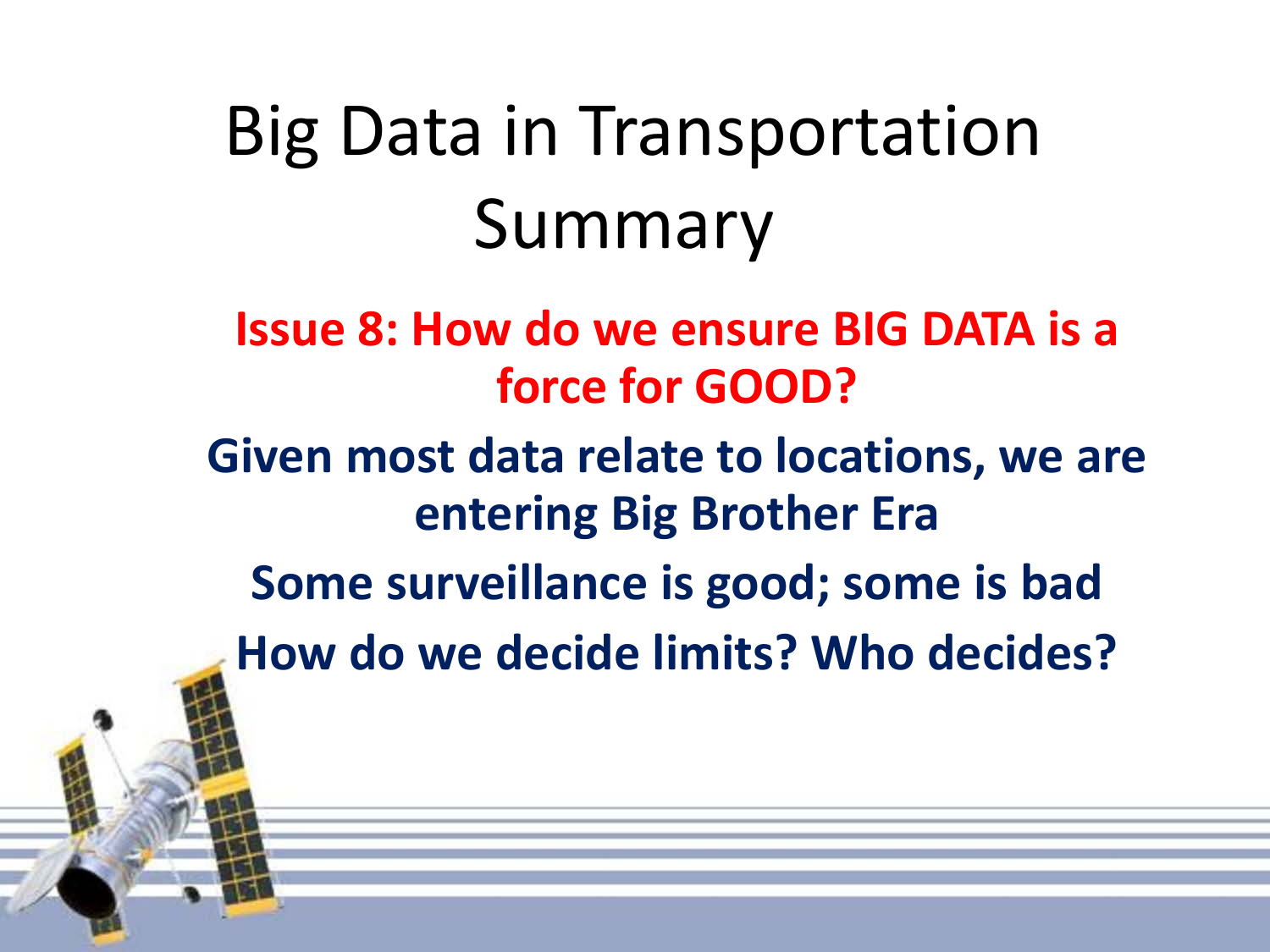**Issue 8: How do we ensure BIG DATA is a force for GOOD?** 

**Given most data relate to locations, we are entering Big Brother Era**

**Some surveillance is good; some is bad**

**How do we decide limits? Who decides?**